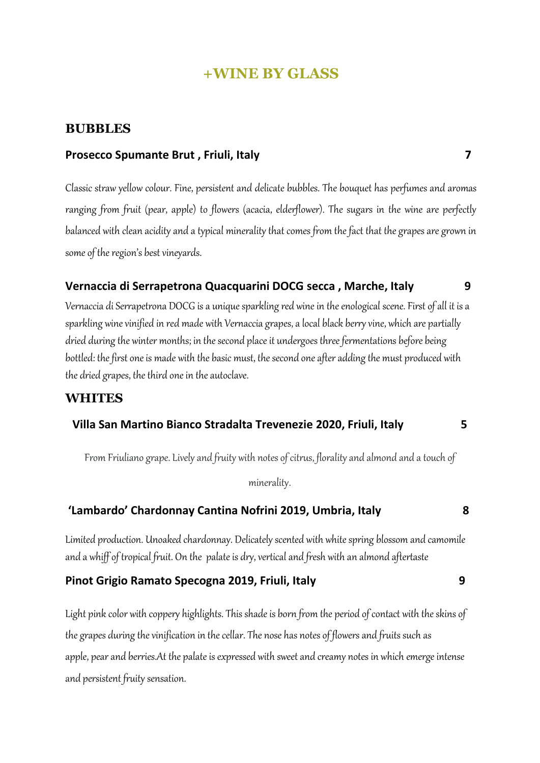# **+WINE BY GLASS**

## **BUBBLES**

#### **Prosecco Spumante Brut, Friuli, Italy 7 Prosecco 7 7**

Classic straw yellow colour. Fine, persistent and delicate bubbles. The bouquet has perfumes and aromas ranging from fruit (pear, apple) to flowers (acacia, elderflower). The sugars in the wine are perfectly balanced with clean acidity and a typical minerality that comes from the fact that the grapes are grown in some of the region's best vineyards.

#### **Vernaccia di Serrapetrona Quacquarini DOCG secca , Marche, Italy 9**

Vernaccia di Serrapetrona DOCG is a unique sparkling red wine in the enological scene. First of all it is a sparkling wine vinified in red made with Vernaccia grapes, a local black berry vine, which are partially dried during the winter months; in the second place it undergoes three fermentations before being bottled: the first one is made with the basic must, the second one after adding the must produced with the dried grapes, the third one in the autoclave.

# **WHITES**

#### **Villa San Martino Bianco Stradalta Trevenezie 2020, Friuli, Italy 5**

From Friuliano grape. Lively and fruity with notes of citrus, florality and almond and a touch of

minerality.

## **'Lambardo' Chardonnay Cantina Nofrini 2019, Umbria, Italy 8**

Limited production. Unoaked chardonnay. Delicately scented with white spring blossom and camomile and a whiff of tropical fruit. On the palate is dry, vertical and fresh with an almond aftertaste

## **Pinot Grigio Ramato Specogna 2019, Friuli, Italy 9**

Light pink color with coppery highlights. This shade is born from the period of contact with the skinsof the grapes during the vinification in the cellar. The nose has notes of flowers and fruits such as apple, pear and berries.At the palate is expressed with sweet and creamy notes in which emerge intense and persistent fruity sensation.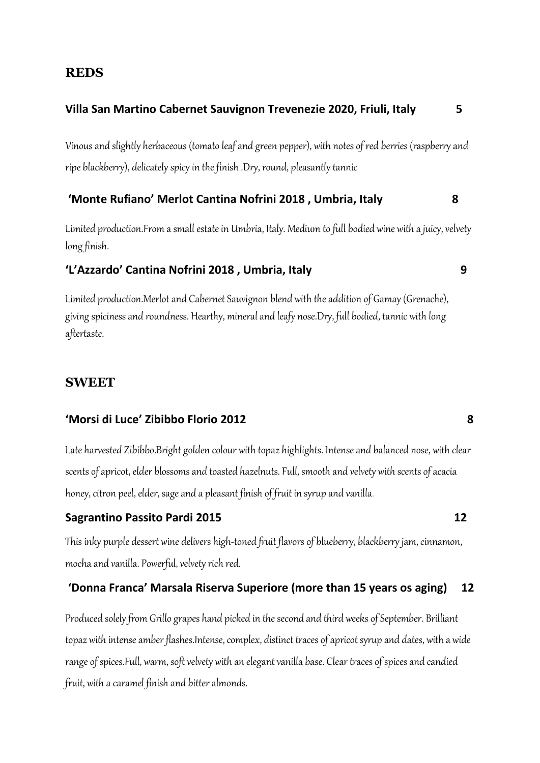## **REDS**

## **Villa San Martino Cabernet Sauvignon Trevenezie 2020, Friuli, Italy 5**

Vinous and slightly herbaceous (tomato leaf and green pepper), with notes of red berries (raspberry and ripe blackberry), delicately spicy in the finish .Dry, round, pleasantly tannic

## **'Monte Rufiano' Merlot Cantina Nofrini 2018 , Umbria, Italy 8**

Limited production.From a small estate in Umbria, Italy. Medium to full bodied wine with a juicy, velvety long finish.

## **'L'Azzardo' Cantina Nofrini 2018 , Umbria, Italy 9**

Limited production.Merlotand Cabernet Sauvignon blend with the addition of Gamay (Grenache), giving spiciness and roundness. Hearthy, mineral and leafy nose.Dry, full bodied, tannic with long aftertaste.

## **SWEET**

#### **'Morsi di Luce' Zibibbo Florio 2012 8**

Late harvested Zibibbo.Bright golden colour with topaz highlights. Intense and balanced nose, with clear scents of apricot, elder blossoms and toasted hazelnuts. Full, smooth and velvety with scents of acacia honey, citron peel, elder, sage and a pleasant finish of fruit in syrup and vanilla.

#### **Sagrantino Passito Pardi 2015** 12

This inky purple dessert wine delivers high-toned fruit flavors of blueberry, blackberry jam, cinnamon, mocha and vanilla. Powerful, velvety rich red.

#### **'Donna Franca' Marsala Riserva Superiore (more than 15 years os aging) 12**

Produced solely from Grillo grapes hand picked in the second and third weeks of September. Brilliant topaz with intense amber flashes.Intense, complex, distinct traces of apricot syrup and dates, with a wide range of spices.Full, warm, soft velvety with an elegant vanilla base. Clear traces of spices and candied fruit, with a caramel finish and bitter almonds.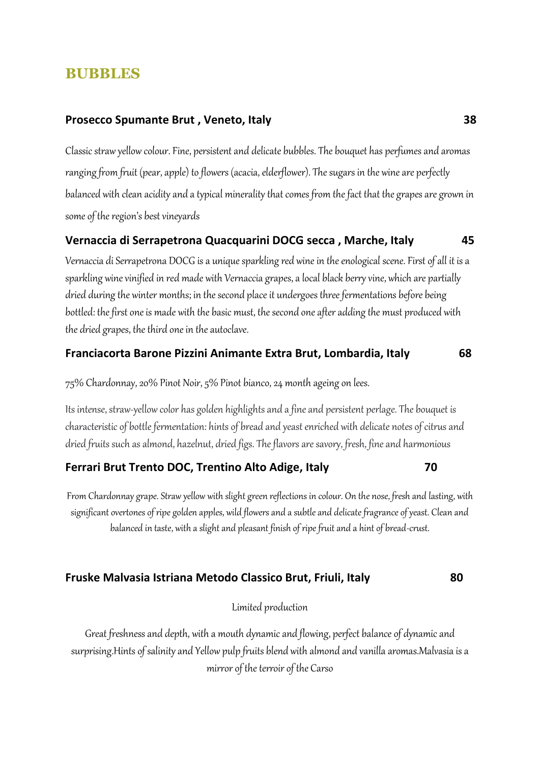# **BUBBLES**

#### Prosecco Spumante Brut, Veneto, Italy **Example 2018** 28

Classic straw yellow colour. Fine, persistent and delicate bubbles. The bouquet has perfumes and aromas ranging from fruit (pear, apple) to flowers (acacia, elderflower). The sugars in the wine are perfectly balanced with clean acidity and a typical minerality that comes from the fact that the grapes are grown in some of the region's best vineyards

#### **Vernaccia di Serrapetrona Quacquarini DOCG secca , Marche, Italy 45**

Vernaccia di Serrapetrona DOCG is a unique sparkling red wine in the enological scene. First of all it is a sparkling wine vinified in red made with Vernaccia grapes, a local black berry vine, which are partially dried during the winter months; in the second place it undergoes three fermentations before being bottled: the first one is made with the basic must, the second one after adding the must produced with the dried grapes, the third one in the autoclave.

#### **Franciacorta Barone Pizzini Animante Extra Brut, Lombardia, Italy 68**

75% Chardonnay, 20% Pinot Noir, 5% Pinot bianco, 24 month ageing on lees.

Its intense, straw-yellow color has golden highlights and a fine and persistent perlage. The bouquet is characteristic of bottle fermentation: hints of bread and yeast enriched with delicate notes of citrus and dried fruits such as almond, hazelnut, dried figs. The flavors are savory, fresh, fine and harmonious

## **Ferrari Brut Trento DOC, Trentino Alto Adige, Italy 70**

From Chardonnay grape. Straw yellow with slight green reflections in colour. On the nose, fresh and lasting, with significant overtones of ripe golden apples, wild flowers and a subtle and delicate fragrance of yeast. Clean and balanced in taste, with a slight and pleasant finish of ripe fruit and a hint of bread-crust.

## **Fruske Malvasia Istriana Metodo Classico Brut, Friuli, Italy 80**

Limited production

Great freshness and depth, with a mouth dynamic and flowing, perfect balance of dynamic and surprising.Hints of salinity and Yellow pulp fruits blend with almond and vanilla aromas.Malvasia is a mirror of the terroir of the Carso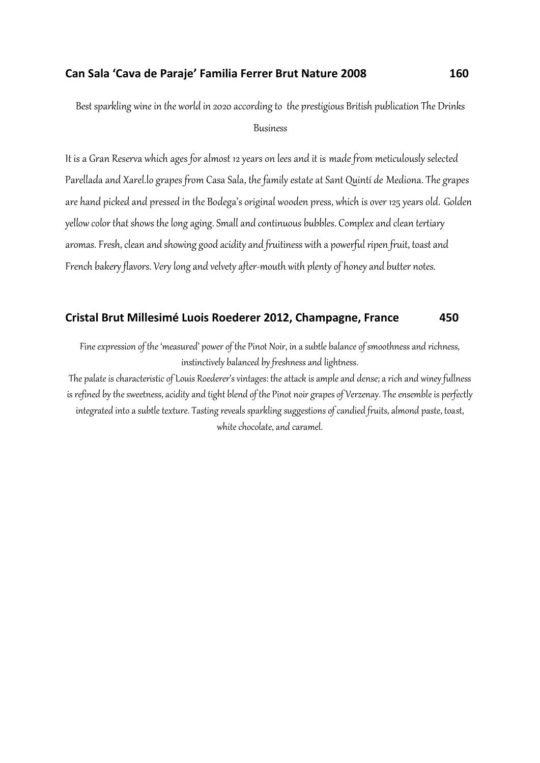#### **Can Sala 'Cava de Paraje' Familia Ferrer Brut Nature 2008 160**

Best sparkling wine in the world in 2020 according to the prestigious British publication The Drinks Business

It is a Gran Reserva which ages for almost 12 years on lees and it is made from meticulously selected Parellada and Xarel.lo grapes from Casa Sala, the family estate at Sant Quintí de Mediona. The grapes are hand picked and pressed in the Bodega's original wooden press, which is over 125 years old. Golden yellow color that shows the long aging. Small and continuous bubbles. Complex and clean tertiary aromas.Fresh, clean and showing good acidity and fruitiness with a powerful ripen fruit, toast and French bakery flavors. Very long and velvety after-mouth with plenty of honey and butter notes.

#### **Cristal Brut Millesimé Luois Roederer 2012, Champagne, France 450**

Fine expression of the 'measured' power of the Pinot Noir, in a subtle balance of smoothness and richness, instinctively balanced by freshness and lightness.

The palate is characteristic of Louis Roederer's vintages: the attack is ample and dense; a rich and winey fullness is refined by the sweetness, acidity and tight blend of the Pinot noir grapes of Verzenay. The ensemble is perfectly integrated into a subtle texture. Tasting reveals sparkling suggestions of candied fruits, almond paste, toast, white chocolate, and caramel.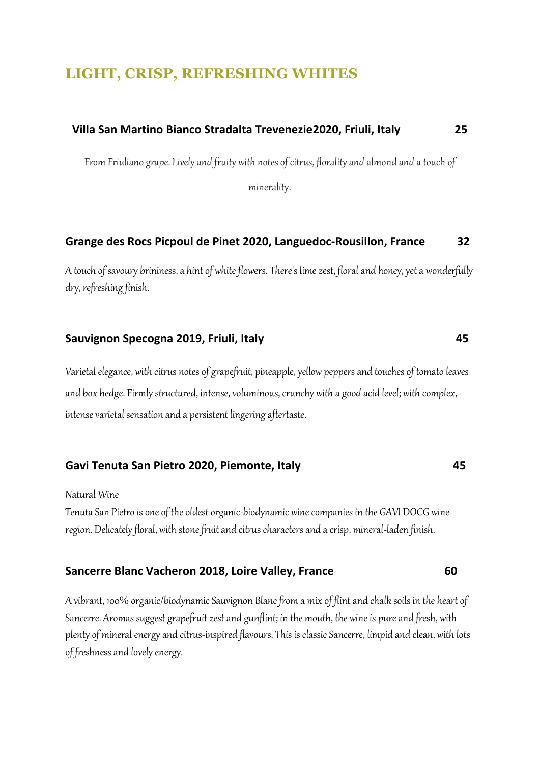# **LIGHT, CRISP, REFRESHING WHITES**

# **Villa San Martino Bianco Stradalta Trevenezie2020, Friuli, Italy 25**

From Friuliano grape. Lively and fruity with notes of citrus, florality and almond and a touch of

minerality.

#### **Grange des Rocs Picpoul de Pinet 2020, Languedoc-Rousillon, France 32**

A touch of savoury brininess, a hint of white flowers. There's lime zest, floral and honey, yet a wonderfully dry, refreshing finish.

#### **Sauvignon Specogna 2019, Friuli, Italy 45**

Varietal elegance, with citrus notes of grapefruit, pineapple, yellow peppers and touches of tomato leaves and box hedge. Firmly structured, intense, voluminous, crunchy with a good acid level; with complex, intense varietal sensation and a persistent lingering aftertaste.

#### **Gavi Tenuta San Pietro 2020, Piemonte, Italy 45**

Natural Wine

Tenuta San Pietro is one of the oldest organic-biodynamic wine companies in the GAVI DOCG wine region. Delicately floral, with stone fruit and citrus characters and a crisp, mineral-laden finish.

### **Sancerre Blanc Vacheron 2018, Loire Valley, France 60**

A vibrant, 100% organic/biodynamic Sauvignon Blanc from a mix of flint and chalk soils in the heart of Sancerre. Aromas suggest grapefruit zest and gunflint; in the mouth, the wine is pure and fresh, with plenty of mineral energy and citrus-inspired flavours. This is classic Sancerre, limpid and clean, with lots of freshness and lovely energy.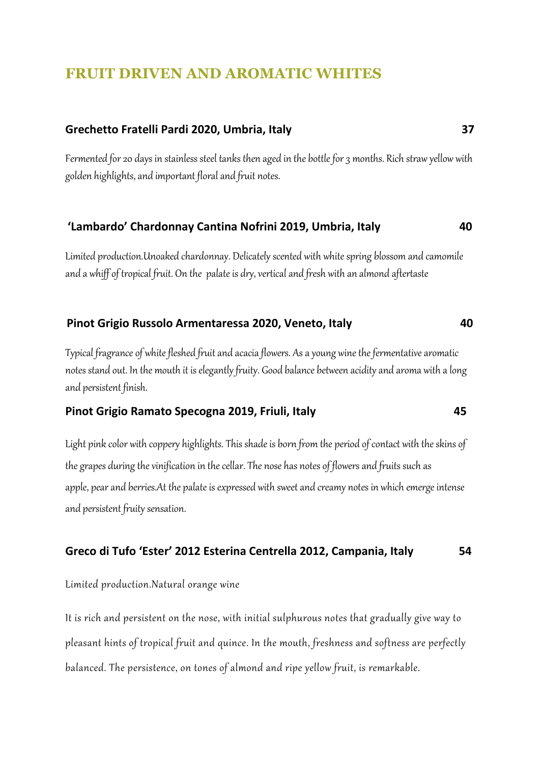# **FRUIT DRIVEN AND AROMATIC WHITES**

#### **Grechetto Fratelli Pardi 2020, Umbria, Italy 37**

Fermented for 20 days in stainless steel tanks then aged in the bottle for 3 months. Rich straw yellow with golden highlights, and important floral and fruit notes.

#### **'Lambardo' Chardonnay Cantina Nofrini 2019, Umbria, Italy 40**

Limited production.Unoaked chardonnay. Delicately scented with white spring blossom and camomile and a whiff of tropical fruit. On the palate is dry, vertical and fresh with an almond aftertaste

#### **Pinot Grigio Russolo Armentaressa 2020, Veneto, Italy 40**

Typical fragrance of white fleshed fruit and acacia flowers. As a young wine the fermentative aromatic notes stand out. In the mouth it is elegantly fruity. Good balance between acidity and aroma with a long and persistent finish.

#### **Pinot Grigio Ramato Specogna 2019, Friuli, Italy 45**

Light pink color with coppery highlights. This shade is born from the period of contact with the skins of the grapes during the vinification in the cellar. The nose has notes of flowers and fruits such as apple, pear and berries.At the palate is expressed with sweet and creamy notes in which emerge intense and persistent fruity sensation.

#### **Greco di Tufo 'Ester' 2012 Esterina Centrella 2012, Campania, Italy 54**

Limited production.Natural orange wine

It is rich and persistent on the nose, with initial sulphurous notes that gradually give way to pleasant hints of tropical fruit and quince. In the mouth, freshness and softness are perfectly balanced. The persistence, on tones of almond and ripe yellow fruit, is remarkable.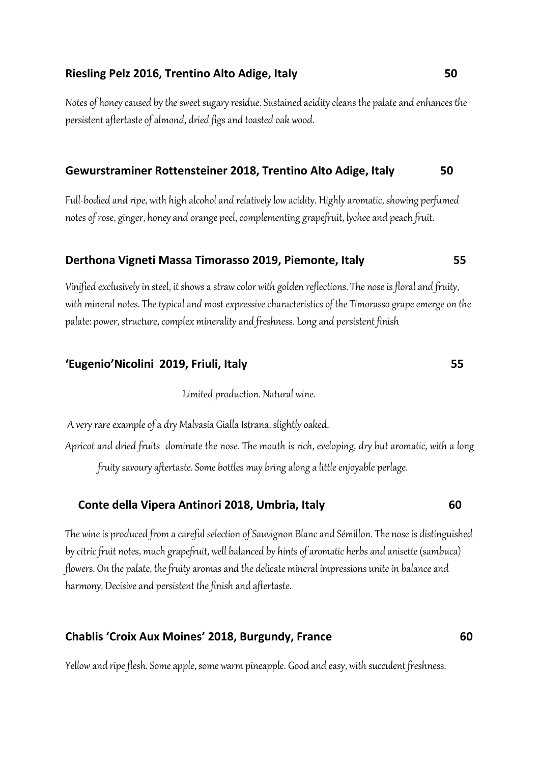#### **Riesling Pelz 2016, Trentino Alto Adige, Italy 50**

Notes of honey caused by the sweet sugary residue. Sustained acidity cleans the palate and enhances the persistent aftertaste of almond, dried figs and toasted oak wood.

#### **Gewurstraminer Rottensteiner 2018, Trentino Alto Adige, Italy 50**

Full-bodied and ripe, with high alcohol and relatively low acidity. Highly aromatic, showing perfumed notes of rose, ginger, honey and orange peel, complementing grapefruit, lychee and peach fruit.

#### **Derthona Vigneti Massa Timorasso 2019, Piemonte, Italy 55**

Vinified exclusively in steel, it shows a straw color with golden reflections. The nose is floral and fruity, with mineral notes. The typical and most expressive characteristics of the Timorasso grape emerge on the palate: power, structure, complex minerality and freshness. Long and persistent finish

#### **'Eugenio'Nicolini 2019, Friuli, Italy 55**

Limited production. Natural wine.

A very rare example of a dry Malvasia Gialla Istrana, slightly oaked. Apricot and dried fruits dominate the nose. The mouth is rich, eveloping, dry but aromatic, with a long fruity savoury aftertaste. Some bottles may bring along a little enjoyable perlage.

#### **Conte della Vipera Antinori 2018, Umbria, Italy 60**

The wine is produced from a careful selection of Sauvignon Blanc and Sémillon. The nose is distinguished by citric fruit notes, much grapefruit, well balanced by hints of aromatic herbs and anisette (sambuca) flowers. On the palate, the fruity aromas and the delicate mineral impressions unite in balance and harmony. Decisive and persistent the finish and aftertaste.

## **Chablis 'Croix Aux Moines' 2018, Burgundy, France 60**

Yellow and ripe flesh. Some apple, some warm pineapple. Good and easy, with succulent freshness.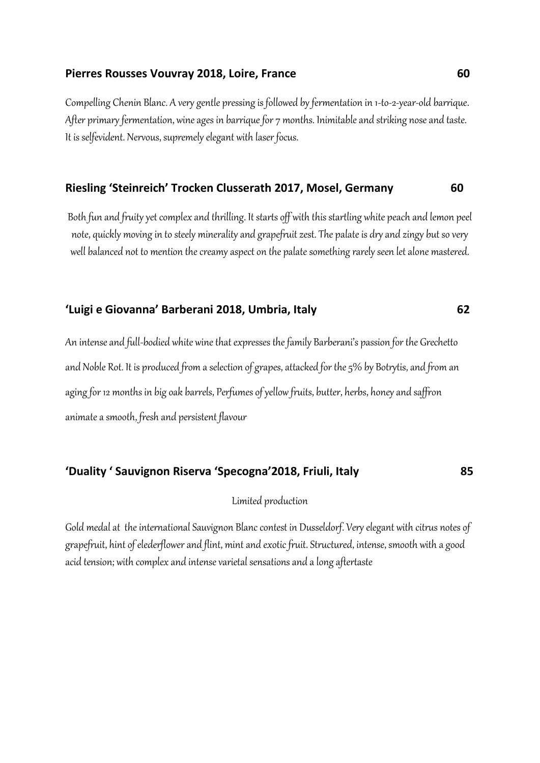#### **Pierres Rousses Vouvray 2018, Loire, France 60**

Compelling Chenin Blanc. A very gentle pressing is followed by fermentation in 1-to-2-year-old barrique. After primary fermentation, wine ages in barrique for 7 months. Inimitable and striking nose and taste. It is selfevident. Nervous, supremely elegant with laser focus.

#### **Riesling 'Steinreich' Trocken Clusserath 2017, Mosel, Germany 60**

Both fun and fruity yet complex and thrilling. It starts off with this startling white peach and lemon peel note, quickly moving in to steely minerality and grapefruit zest. The palate is dry and zingy but so very well balanced not to mention the creamy aspect on the palate something rarely seen let alone mastered.

#### **'Luigi e Giovanna' Barberani 2018, Umbria, Italy 62**

An intense and full-bodied white wine that expresses the family Barberani's passion for the Grechetto and Noble Rot. It is produced from a selection of grapes, attacked for the 5% by Botrytis, and from an aging for 12 months in big oak barrels, Perfumes of yellow fruits, butter, herbs, honey and saffron animate a smooth, fresh and persistent flavour

## **'Duality ' Sauvignon Riserva 'Specogna'2018, Friuli, Italy 85**

#### Limited production

Gold medal at the international Sauvignon Blanc contest in Dusseldorf. Very elegant with citrus notes of grapefruit, hint of elederflower and flint, mint and exotic fruit. Structured, intense, smooth with a good acid tension; with complex and intense varietal sensations and a long aftertaste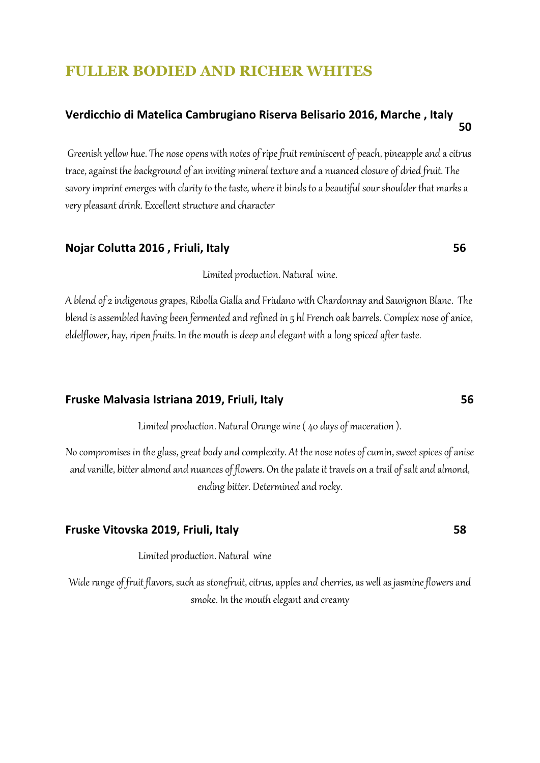# **FULLER BODIED AND RICHER WHITES**

# **Verdicchio di Matelica Cambrugiano Riserva Belisario 2016, Marche , Italy 50**

Greenish yellow hue. The nose opens with notes of ripe fruit reminiscent of peach, pineapple and a citrus trace, against the background of an inviting mineral texture and a nuanced closure of dried fruit. The savory imprint emerges with clarity to the taste, where it binds to a beautiful sour shoulder that marks a very pleasant drink. Excellent structure and character

#### **Nojar Colutta 2016 , Friuli, Italy 56**

Limited production. Natural wine.

A blend of 2 indigenous grapes, Ribolla Gialla and Friulano with Chardonnay and Sauvignon Blanc. The blend is assembled having been fermented and refined in 5 hl French oak barrels. Complex nose of anice, eldelflower, hay, ripen fruits. In the mouth is deep and elegant with a long spiced after taste.

#### **Fruske Malvasia Istriana 2019, Friuli, Italy 56**

Limited production. Natural Orange wine ( 40 days of maceration ).

No compromises in the glass, great body and complexity. At the nose notes of cumin, sweet spices of anise and vanille, bitter almond and nuances of flowers. On the palate it travels on a trail of salt and almond, ending bitter. Determined and rocky.

#### **Fruske Vitovska 2019, Friuli, Italy 58**

Limited production. Natural wine

Wide range of fruit flavors, such as stonefruit, citrus, apples and cherries, as well as jasmine flowers and smoke. In the mouth elegant and creamy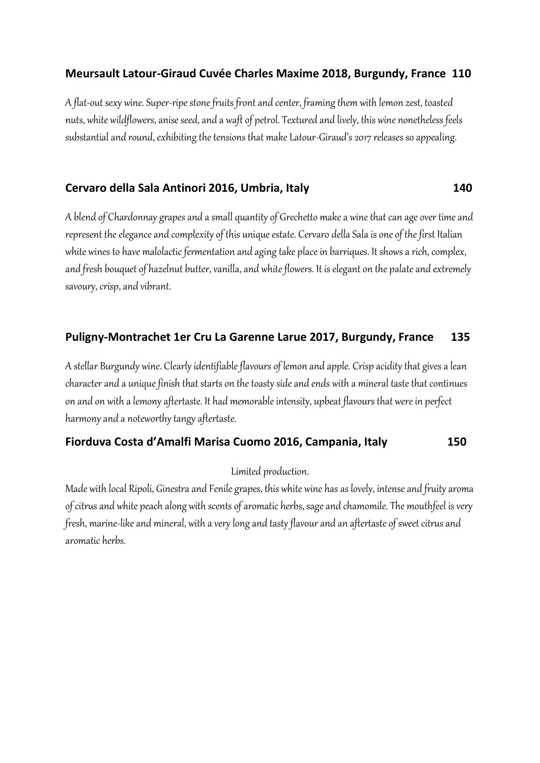# **Meursault Latour-Giraud Cuvée Charles Maxime 2018, Burgundy, France 110**

A flat-out sexy wine. Super-ripe stone fruits front and center, framing them with lemon zest, toasted nuts, white wildflowers, anise seed, and a waft of petrol. Textured and lively, this wine nonetheless feels substantial and round, exhibiting the tensions that make Latour-Giraud's 2017 releases so appealing.

# **Cervaro della Sala Antinori 2016, Umbria, Italy 140**

A blend of Chardonnay grapes and a small quantity of Grechetto make a wine that can age over time and represent the elegance and complexity of this unique estate. Cervaro della Sala is one of the first Italian white wines to have malolactic fermentation and aging take place in barriques. It shows a rich, complex, and fresh bouquet of hazelnut butter, vanilla, and white flowers. It is elegant on the palate and extremely savoury, crisp, and vibrant.

# **Puligny-Montrachet 1er Cru La Garenne Larue 2017, Burgundy, France 135**

A stellar Burgundy wine. Clearly identifiable flavours of lemon and apple. Crisp acidity that gives a lean character and a unique finish that starts on the toasty side and ends with a mineral taste that continues on and on with a lemony aftertaste. It had memorable intensity, upbeat flavours that were in perfect harmony and a noteworthy tangy aftertaste.

## **Fiorduva Costa d'Amalfi Marisa Cuomo 2016, Campania, Italy 150**

Limited production.

Made with local Ripoli, Ginestra and Fenile grapes, this white wine has as lovely, intense and fruity aroma of citrus and white peach along with scents of aromatic herbs, sage and chamomile. The mouthfeel is very fresh, marine-like and mineral, with a very long and tasty flavour and an aftertaste of sweet citrus and aromatic herbs.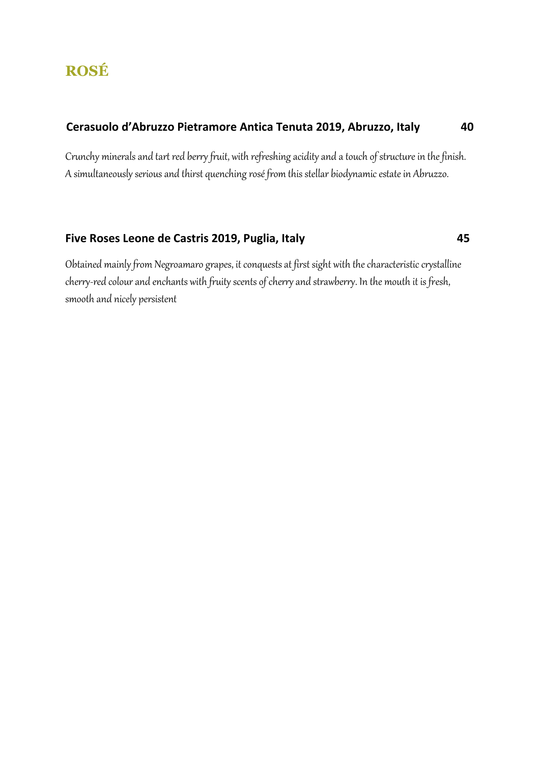# **Cerasuolo d'Abruzzo Pietramore Antica Tenuta 2019, Abruzzo, Italy 40**

Crunchy minerals and tart red berry fruit, with refreshing acidity and a touch of structure in the finish. A simultaneously serious and thirst quenching rosé from this stellar biodynamic estate in Abruzzo.

# **Five Roses Leone de Castris 2019, Puglia, Italy 45**

Obtained mainly from Negroamaro grapes, it conquests at first sight with the characteristic crystalline cherry-red colour and enchants with fruity scents of cherry and strawberry. In the mouth it is fresh, smooth and nicely persistent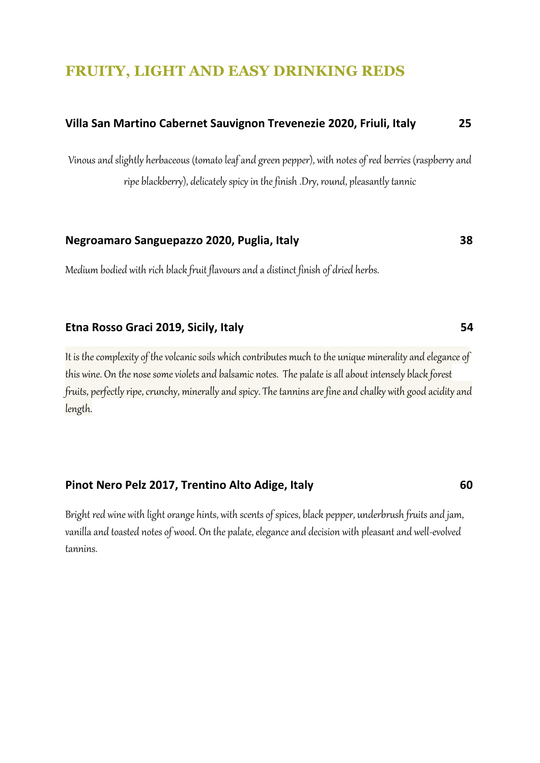# **FRUITY, LIGHT AND EASY DRINKING REDS**

# **Villa San Martino Cabernet Sauvignon Trevenezie 2020, Friuli, Italy 25**

Vinous and slightly herbaceous (tomato leaf and green pepper), with notes of red berries (raspberry and ripe blackberry), delicately spicy in the finish .Dry, round, pleasantly tannic

# **Negroamaro Sanguepazzo 2020, Puglia, Italy 38**

Medium bodied with rich black fruit flavours and a distinct finish of dried herbs.

#### **Etna Rosso Graci 2019, Sicily, Italy 54**

It is the complexity of the volcanic soils which contributes much to the unique minerality and elegance of this wine. On the nose some violets and balsamic notes. The palate is all about intensely black forest fruits, perfectly ripe, crunchy, minerally and spicy. The tannins are fine and chalky with good acidity and length.

#### **Pinot Nero Pelz 2017, Trentino Alto Adige, Italy 60**

Bright red wine with light orange hints, with scents of spices, black pepper, underbrush fruits and jam, vanilla and toasted notes of wood. On the palate, elegance and decision with pleasant and well-evolved tannins.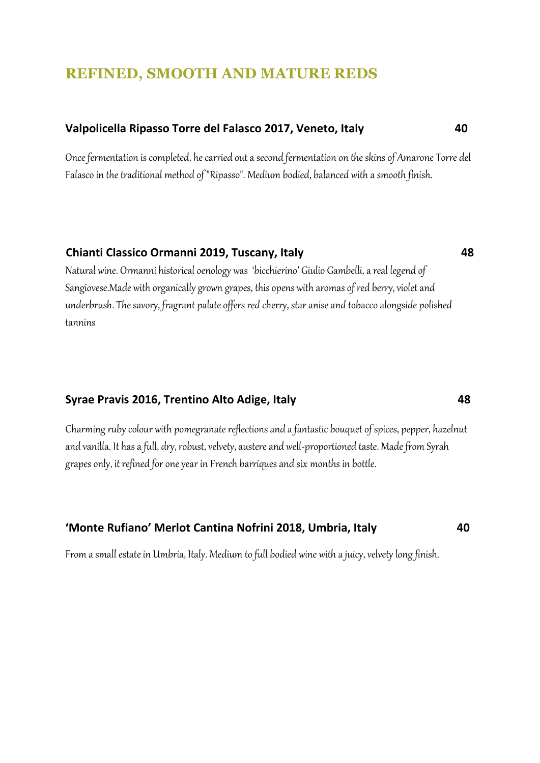# **REFINED, SMOOTH AND MATURE REDS**

#### **Valpolicella Ripasso Torre del Falasco 2017, Veneto, Italy 40**

Once fermentation is completed, he carried out a second fermentation on the skins of Amarone Torre del Falasco in the traditional method of "Ripasso". Medium bodied, balanced with a smooth finish.

#### **Chianti Classico Ormanni 2019, Tuscany, Italy 48**

Natural wine. Ormanni historical oenology was 'bicchierino' Giulio Gambelli, a real legend of Sangiovese.Made with organically grown grapes, this opens with aromas of red berry, violet and underbrush. The savory, fragrant palate offers red cherry, star anise and tobacco alongside polished tannins

#### **Syrae Pravis 2016, Trentino Alto Adige, Italy 48**

Charming ruby colour with pomegranate reflections and a fantastic bouquet of spices, pepper, hazelnut and vanilla. It has a full, dry, robust, velvety, austere and well-proportioned taste. Made from Syrah grapes only, it refined for one year in French barriques and six months in bottle.

#### **'Monte Rufiano' Merlot Cantina Nofrini 2018, Umbria, Italy 40**

From a small estate in Umbria, Italy. Medium to full bodied wine with a juicy, velvety long finish.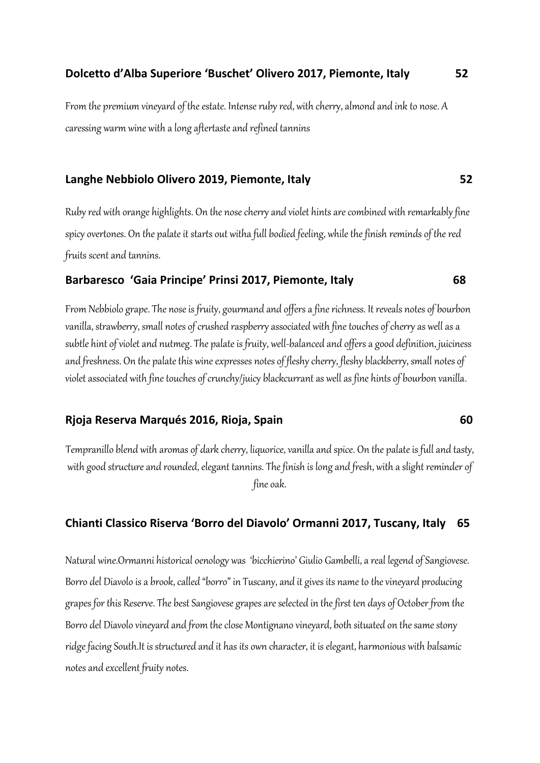#### **Dolcetto d'Alba Superiore 'Buschet' Olivero 2017, Piemonte, Italy 52**

From the premium vineyard of the estate. Intense ruby red, with cherry, almond and ink to nose. A caressing warm wine with a long aftertaste and refined tannins

#### **Langhe Nebbiolo Olivero 2019, Piemonte, Italy 52**

Ruby red with orange highlights. On the nose cherry and violet hints are combined with remarkably fine spicy overtones. On the palate it starts out witha full bodied feeling, while the finish reminds of the red fruits scent and tannins.

#### **Barbaresco 'Gaia Principe' Prinsi 2017, Piemonte, Italy 68**

From Nebbiolo grape. The nose is fruity, gourmand and offers a fine richness. It reveals notes of bourbon vanilla, strawberry, small notes of crushed raspberry associated with fine touches of cherry as well as a subtle hint of violet and nutmeg. The palate is fruity, well-balanced and offers a good definition, juiciness and freshness. On the palate this wine expresses notes of fleshy cherry, fleshy blackberry, small notes of violet associated with fine touches of crunchy/juicy blackcurrant as well as fine hints of bourbon vanilla.

#### **Rjoja Reserva Marqués 2016, Rioja, Spain 60**

Tempranillo blend with aromas of dark cherry, liquorice, vanilla and spice. On the palate is full and tasty, with good structure and rounded, elegant tannins. The finish is long and fresh, with a slight reminder of fine oak.

#### **Chianti Classico Riserva 'Borro del Diavolo' Ormanni 2017, Tuscany, Italy 65**

Natural wine.Ormanni historical oenology was 'bicchierino' Giulio Gambelli, a real legend of Sangiovese. Borro del Diavolo is a brook, called "borro" in Tuscany, and it gives its name to the vineyard producing grapes for this Reserve. The best Sangiovese grapes are selected in the first ten days of October from the Borro del Diavolo vineyard and from the close Montignano vineyard, both situated on the same stony ridge facing South.It is structured and it has its own character, it is elegant, harmonious with balsamic notes and excellent fruity notes.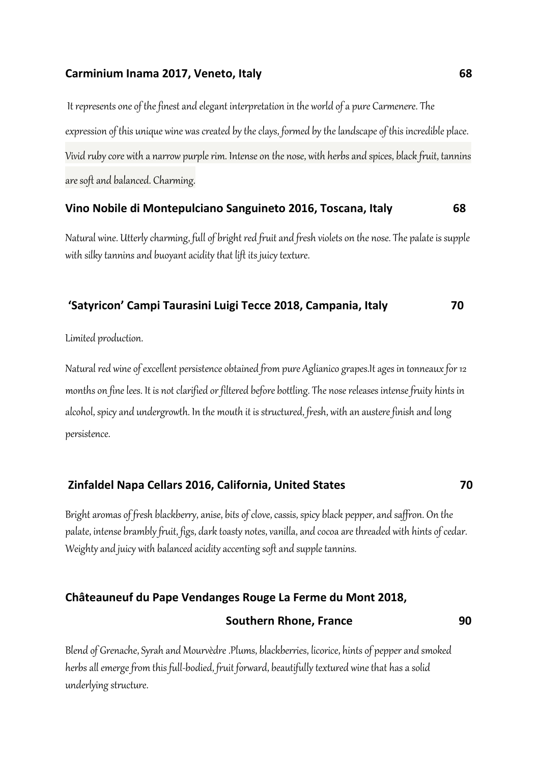#### **Carminium Inama 2017, Veneto, Italy 68**

It represents one of the finest and elegant interpretation in the world of a pure Carmenere. The expression of this unique wine was created by the clays, formed by the landscape of this incredible place. Vivid ruby core with a narrow purple rim. Intense on the nose, with herbs and spices, black fruit, tannins are soft and balanced. Charming.

#### **Vino Nobile di Montepulciano Sanguineto 2016, Toscana, Italy 68**

Natural wine. Utterly charming, full of bright red fruit and fresh violets on the nose. The palate is supple with silky tannins and buoyant acidity that lift its juicy texture.

#### **'Satyricon' Campi Taurasini Luigi Tecce 2018, Campania, Italy 70**

Limited production.

Natural red wine of excellent persistence obtained from pure Aglianico grapes.It ages in tonneaux for 12 months on fine lees. It is not clarified or filtered before bottling. The nose releases intense fruity hints in alcohol, spicy and undergrowth. In the mouth it is structured, fresh, with an austere finish and long persistence.

## **Zinfaldel Napa Cellars 2016, California, United States 70**

Bright aromas of fresh blackberry, anise, bits of clove, cassis, spicy black pepper, and saffron. On the palate, intense brambly fruit, figs, dark toasty notes, vanilla, and cocoa are threaded with hints of cedar. Weighty and juicy with balanced acidity accenting soft and supple tannins.

#### **Châteauneuf du Pape Vendanges Rouge La Ferme du Mont 2018,**

#### **Southern Rhone, France** 20 20

Blend of Grenache, Syrah and Mourvèdre .Plums, blackberries, licorice, hints of pepper and smoked herbs all emerge from this full-bodied, fruit forward, beautifully textured wine that has a solid underlying structure.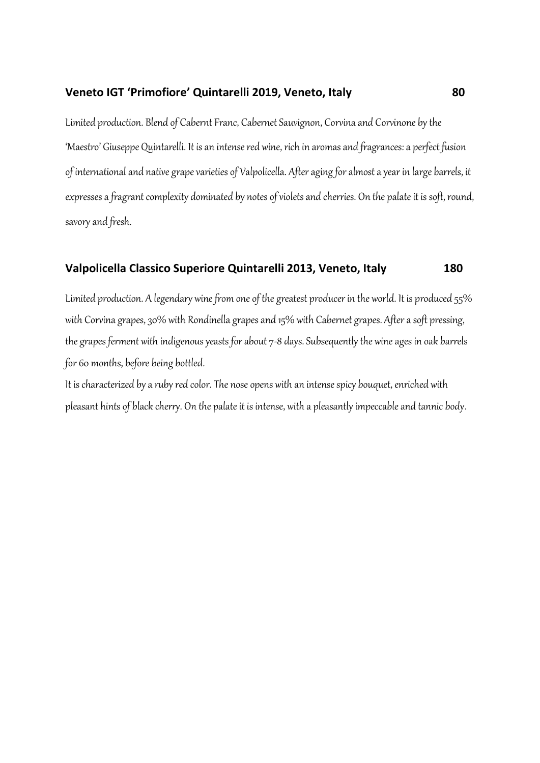#### **Veneto IGT 'Primofiore' Quintarelli 2019, Veneto, Italy 80**

Limited production. Blend of Cabernt Franc, Cabernet Sauvignon, Corvina and Corvinone by the 'Maestro' Giuseppe Quintarelli. It is an intense red wine, rich in aromas and fragrances: a perfect fusion of international and native grape varieties of Valpolicella. After aging for almost a year in large barrels, it expresses a fragrant complexity dominated by notes of violets and cherries. On the palate it is soft, round, savory and fresh.

#### **Valpolicella Classico Superiore Quintarelli 2013, Veneto, Italy 180**

Limited production. A legendary wine from one of the greatest producer in the world. It is produced 55% with Corvina grapes, 30% with Rondinella grapes and 15% with Cabernet grapes. After a soft pressing, the grapes ferment with indigenous yeasts for about 7-8 days. Subsequently the wine ages in oak barrels for 60 months, before being bottled.

It is characterized by a ruby red color. The nose opens with an intense spicy bouquet, enriched with pleasant hints of black cherry. On the palate it is intense, with a pleasantly impeccable and tannic body.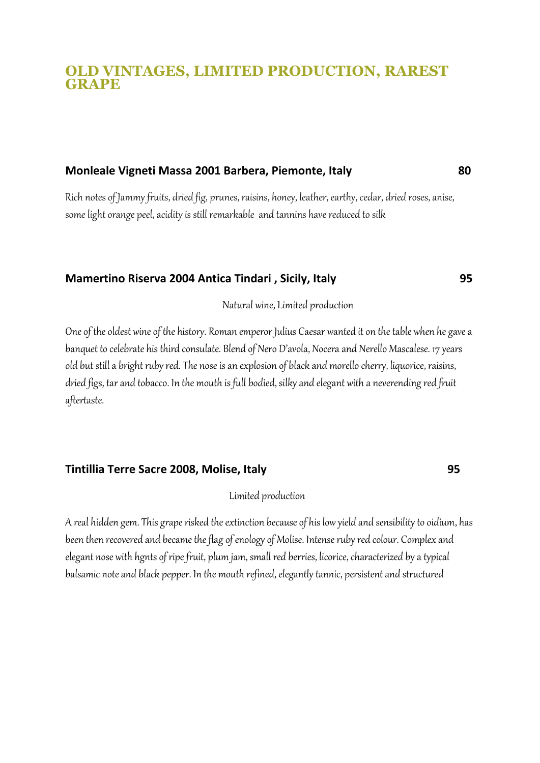# **OLD VINTAGES, LIMITED PRODUCTION, RAREST GRAPE**

#### **Monleale Vigneti Massa 2001 Barbera, Piemonte, Italy 80**

Rich notes of Jammy fruits, dried fig, prunes, raisins, honey, leather, earthy, cedar, dried roses, anise, some light orange peel, acidity is still remarkable and tannins have reduced to silk

#### **Mamertino Riserva 2004 Antica Tindari , Sicily, Italy 95**

Natural wine, Limited production

One of the oldest wine of the history. Roman emperor Julius Caesar wanted it on the table when he gave a banquet to celebrate his third consulate. Blend of Nero D'avola, Nocera and Nerello Mascalese. 17 years old but still a bright ruby red. The nose is an explosion of black and morello cherry, liquorice, raisins, dried figs, tar and tobacco. In the mouth is full bodied, silky and elegant with a neverending red fruit aftertaste.

#### **Tintillia Terre Sacre 2008, Molise, Italy 95**

#### Limited production

A real hidden gem. This grape risked the extinction because of his low yield and sensibility to oidium, has been then recovered and became the flag of enology of Molise. Intense ruby red colour. Complex and elegant nose with hgnts of ripe fruit, plum jam, small red berries, licorice, characterized by a typical balsamic note and black pepper. In the mouth refined, elegantly tannic, persistent and structured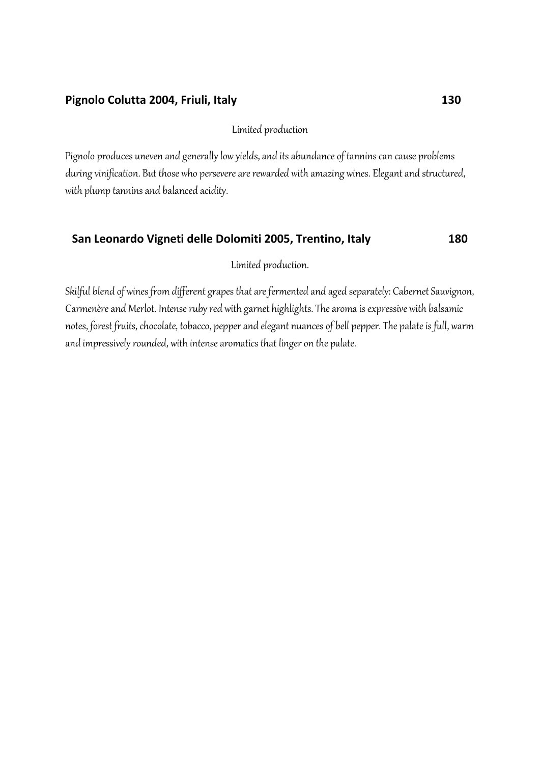## **Pignolo Colutta 2004, Friuli, Italy 130**

Limited production

Pignolo produces uneven and generally low yields, and its abundance of tannins can cause problems during vinification. But those who persevere are rewarded with amazing wines. Elegant and structured, with plump tannins and balanced acidity.

## **San Leonardo Vigneti delle Dolomiti 2005, Trentino, Italy 180**

Limited production.

Skilful blend of wines from different grapes that are fermented and aged separately: Cabernet Sauvignon, Carmenère and Merlot. Intense ruby red with garnet highlights. The aroma is expressive with balsamic notes, forest fruits, chocolate, tobacco, pepper and elegant nuances of bell pepper. The palate is full, warm and impressively rounded, with intense aromatics that linger on the palate.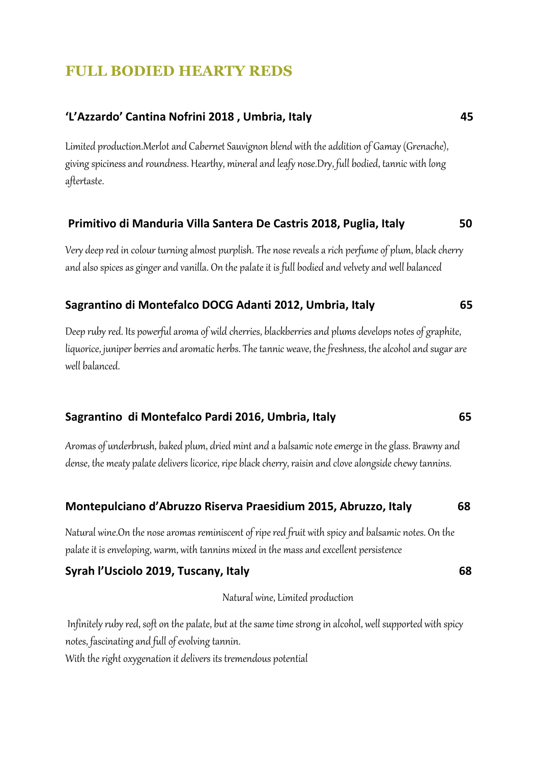# **FULL BODIED HEARTY REDS**

# **'L'Azzardo' Cantina Nofrini 2018 , Umbria, Italy 45**

Limited production.Merlotand Cabernet Sauvignon blend with the addition of Gamay (Grenache), giving spiciness and roundness. Hearthy, mineral and leafy nose.Dry, full bodied, tannic with long aftertaste.

# **Primitivo di Manduria Villa Santera De Castris 2018, Puglia, Italy 50**

Very deep red in colour turning almost purplish. The nose reveals a rich perfume of plum, black cherry and also spices as ginger and vanilla. On the palate it is full bodied and velvety and well balanced

## **Sagrantino di Montefalco DOCG Adanti 2012, Umbria, Italy 65**

Deep ruby red. Its powerful aroma of wild cherries, blackberries and plums develops notes of graphite, liquorice, juniper berries and aromatic herbs. The tannic weave, the freshness, the alcohol and sugar are well balanced.

## **Sagrantino di Montefalco Pardi 2016, Umbria, Italy 65**

Aromas of underbrush, baked plum, dried mint and a balsamic note emerge in the glass. Brawny and dense, the meaty palate delivers licorice, ripe black cherry, raisin and clove alongside chewy tannins.

#### **Montepulciano d'Abruzzo Riserva Praesidium 2015, Abruzzo, Italy 68**

Natural wine.On the nose aromas reminiscent of ripe red fruit with spicy and balsamic notes. On the palate it is enveloping, warm, with tannins mixed in the mass and excellent persistence

## **Syrah l'Usciolo 2019, Tuscany, Italy 68**

Natural wine, Limited production

Infinitely ruby red, soft on the palate, but at the same time strong in alcohol, well supported with spicy notes, fascinating and full of evolving tannin. With the right oxygenation it delivers its tremendous potential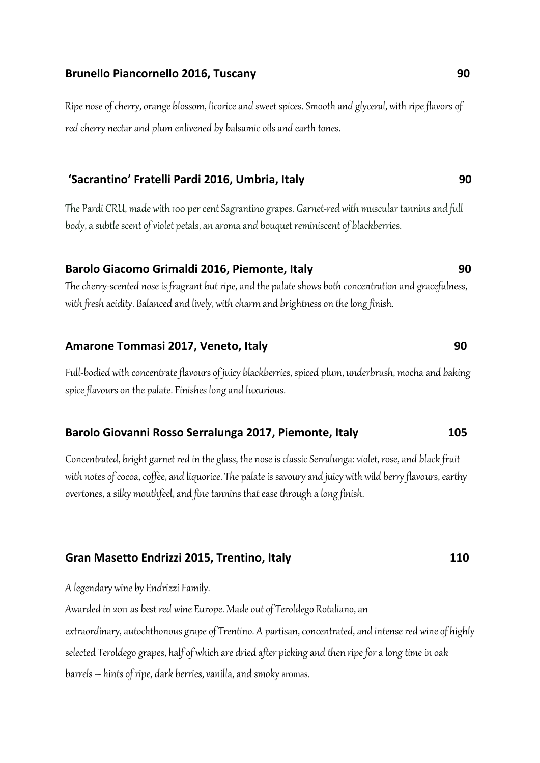#### **Brunello Piancornello 2016, Tuscany 90**

Ripe nose of cherry, orange blossom, licorice and sweet spices. Smooth and glyceral, with ripe flavors of red cherry nectar and plum enlivened by balsamic oils and earth tones.

## **'Sacrantino' Fratelli Pardi 2016, Umbria, Italy 90**

The Pardi CRU, made with 100 per cent Sagrantino grapes. Garnet-red with muscular tannins and full body, a subtle scent of violet petals, an aroma and bouquet reminiscent of blackberries.

## **Barolo Giacomo Grimaldi 2016, Piemonte, Italy 90**

The cherry-scented nose is fragrant but ripe, and the palate shows both concentration and gracefulness, with fresh acidity. Balanced and lively, with charm and brightness on the long finish.

#### **Amarone Tommasi 2017, Veneto, Italy 90**

Full-bodied with concentrate flavours of juicy blackberries, spiced plum, underbrush, mocha and baking spice flavours on the palate. Finishes long and luxurious.

#### **Barolo Giovanni Rosso Serralunga 2017, Piemonte, Italy 105**

Concentrated, bright garnet red in the glass, the nose is classic Serralunga: violet, rose, and black fruit with notes of cocoa, coffee, and liquorice. The palate is savoury and juicy with wild berry flavours, earthy overtones, a silky mouthfeel, and fine tannins that ease through a long finish.

#### **Gran Masetto Endrizzi 2015, Trentino, Italy 110**

A legendary wine by Endrizzi Family.

Awarded in 2011as best red wine Europe. Made out of Teroldego Rotaliano, an

extraordinary, autochthonous grape of Trentino. A partisan, concentrated, and intense red wine of highly selected Teroldego grapes, half of which are dried after picking and then ripe for a long time in oak barrels – hints of ripe, dark berries, vanilla, and smoky aromas.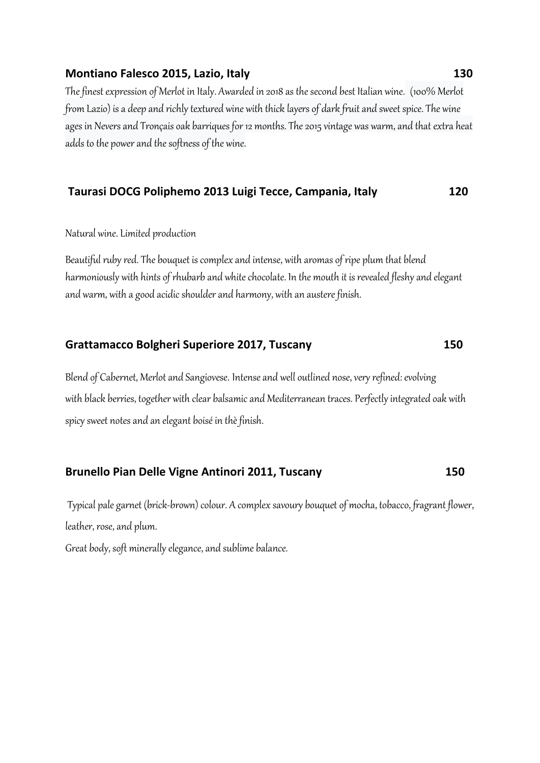#### **Montiano Falesco 2015, Lazio, Italy 130** 130

The finest expression of Merlot in Italy. Awarded in 2018 as the second best Italian wine. (100% Merlot from Lazio) is a deep and richly textured wine with thick layers of dark fruit and sweet spice. The wine ages in Nevers and Tronçais oak barriques for 12 months. The 2015 vintage was warm, and that extra heat adds to the power and the softness of the wine.

#### **Taurasi DOCG Poliphemo 2013 Luigi Tecce, Campania, Italy 120**

#### Natural wine. Limited production

Beautiful ruby red. The bouquet is complex and intense, with aromas of ripe plum that blend harmoniously with hints of rhubarb and white chocolate. In the mouth it is revealed fleshy and elegant and warm, with a good acidic shoulder and harmony, with an austere finish.

# **Grattamacco Bolgheri Superiore 2017, Tuscany 150**

Blend of Cabernet, Merlot and Sangiovese. Intense and well outlined nose, very refined: evolving with black berries, together with clear balsamic and Mediterranean traces. Perfectly integrated oak with spicy sweet notes and an elegant boisé in thè finish.

## **Brunello Pian Delle Vigne Antinori 2011, Tuscany 150**

Typical pale garnet (brick-brown) colour. A complex savoury bouquet of mocha, tobacco, fragrant flower, leather, rose, and plum.

Great body, soft minerally elegance, and sublime balance.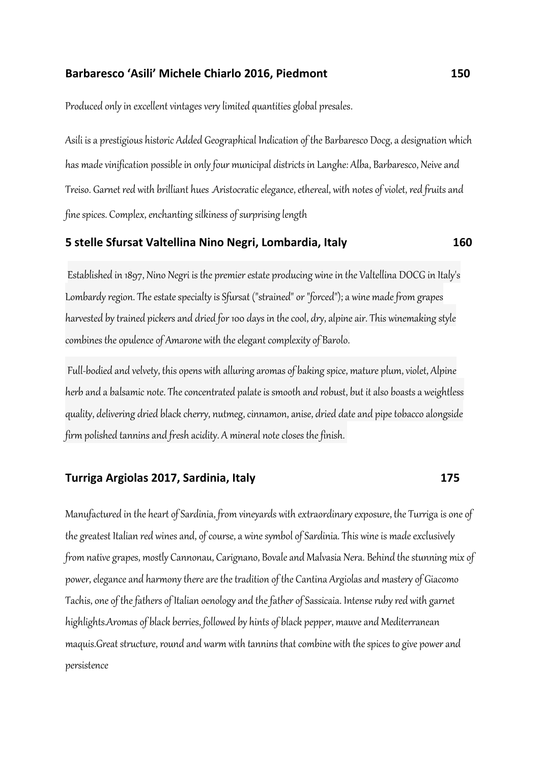#### **Barbaresco 'Asili' Michele Chiarlo 2016, Piedmont 150**

Produced only in excellent vintages very limited quantities global presales.

Asili is a prestigious historic Added Geographical Indication of the Barbaresco Docg, a designation which has made vinification possible in only four municipal districts in Langhe: Alba, Barbaresco, Neive and Treiso. Garnet red with brilliant hues .Aristocratic elegance, ethereal, with notes of violet, red fruits and fine spices. Complex, enchanting silkiness of surprising length

#### **5 stelle Sfursat Valtellina Nino Negri, Lombardia, Italy 160**

Established in 1897, Nino Negri is the premier estate producing wine in the Valtellina DOCG in Italy's Lombardy region. The estate specialty is Sfursat ("strained" or "forced"); a wine made from grapes harvested by trained pickers and dried for 100 days in the cool, dry, alpine air. This winemaking style combines the opulence of Amarone with the elegant complexity of Barolo.

Full-bodied and velvety, this opens with alluring aromas of baking spice, mature plum, violet, Alpine herb and a balsamic note. The concentrated palate is smooth and robust, but it also boasts a weightless quality, delivering dried black cherry, nutmeg, cinnamon, anise, dried date and pipe tobacco alongside firm polished tannins and fresh acidity. A mineral note closes the finish.

#### **Turriga Argiolas 2017, Sardinia, Italy 175**

Manufactured in the heart of Sardinia, from vineyards with extraordinary exposure, the Turriga is one of the greatest Italian red wines and, of course, a wine symbol of Sardinia. This wine is made exclusively from native grapes, mostly Cannonau, Carignano, Bovale and Malvasia Nera. Behind the stunning mix of power, elegance and harmony there are the tradition of the Cantina Argiolas and mastery of Giacomo Tachis, one of the fathers of Italian oenology and the father of Sassicaia. Intense ruby red with garnet highlights.Aromas of black berries, followed by hints of black pepper, mauve and Mediterranean maquis.Great structure, round and warm with tannins that combine with the spices to give power and persistence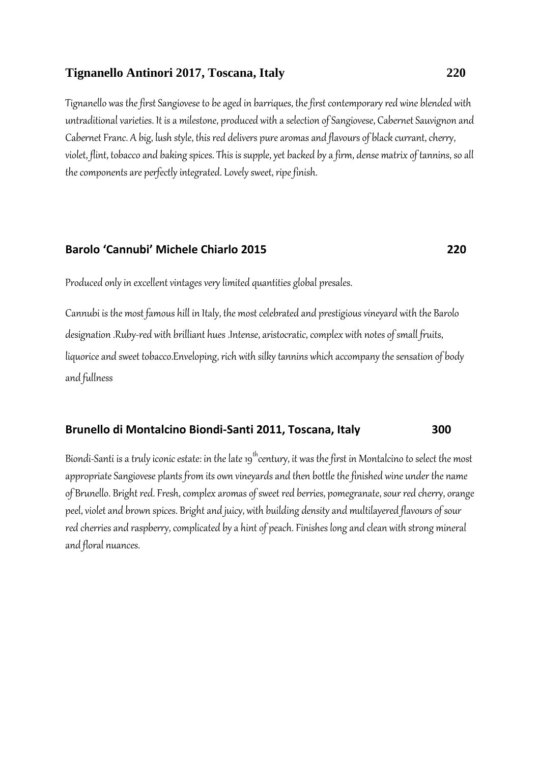#### **Tignanello Antinori 2017, Toscana, Italy 220**

Tignanello was the first Sangiovese to be aged in barriques, the first contemporary red wine blended with untraditional varieties. It is a milestone, produced with a selection of Sangiovese, Cabernet Sauvignon and Cabernet Franc. A big, lush style, this red delivers pure aromas and flavours of black currant, cherry, violet, flint, tobacco and baking spices. This is supple, yet backed by a firm, dense matrix of tannins, so all the components are perfectly integrated. Lovely sweet, ripe finish.

#### **Barolo 'Cannubi' Michele Chiarlo 2015 220**

Produced only in excellent vintages very limited quantities global presales.

Cannubi is the most famous hill in Italy, the most celebrated and prestigious vineyard with the Barolo designation .Ruby-red with brilliant hues .Intense, aristocratic, complex with notes of small fruits, liquorice and sweet tobacco.Enveloping, rich with silky tannins which accompany the sensation of body and fullness

#### **Brunello di Montalcino Biondi-Santi 2011, Toscana, Italy 300**

Biondi-Santi is a truly iconic estate: in the late 19<sup>th</sup> century, it was the first in Montalcino to select the most appropriate Sangiovese plants from its own vineyards and then bottle the finished wine under the name of Brunello. Bright red. Fresh, complex aromas of sweet red berries, pomegranate, sour red cherry, orange peel, violet and brown spices. Bright and juicy, with building density and multilayered flavours of sour red cherries and raspberry, complicated by a hint of peach. Finishes long and clean with strong mineral and floral nuances.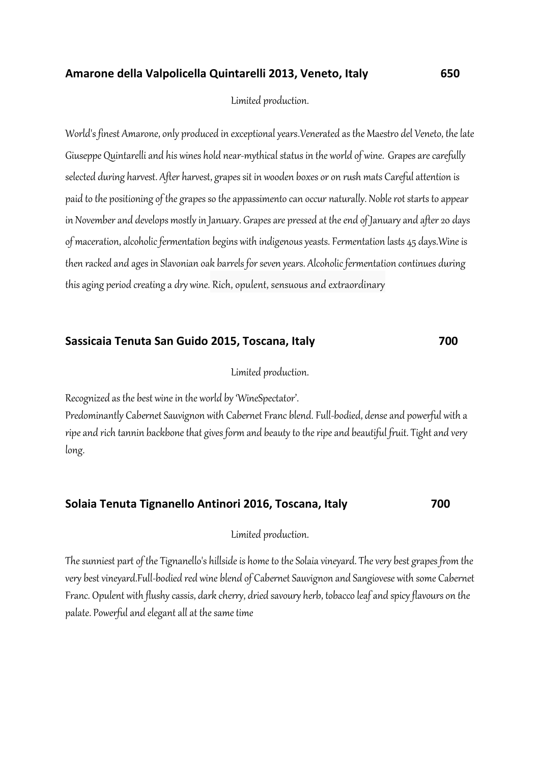#### **Amarone della Valpolicella Quintarelli 2013, Veneto, Italy 650**

#### Limited production.

World's finest Amarone, only produced in exceptional years.Venerated as the Maestro del Veneto, the late Giuseppe Quintarelliand his wines hold near-mythical status in the world of wine. Grapes are carefully selected during harvest. After harvest, grapes sit in wooden boxes or on rush mats Careful attention is paid to the positioning of the grapes so the appassimento can occur naturally. [Noble rot](about:blank) starts to appear in November and develops mostly in January. Grapes are pressed at the end of January and after 20 days of maceration, alcoholic fermentation begins with indigenous yeasts. Fermentation lasts 45 days. Wine is then racked and ages in Slavonian oak barrels for seven years. Alcoholic fermentation continues during this aging period creating a [dry](about:blank) wine. Rich, opulent, sensuous and extraordinary

## **Sassicaia Tenuta San Guido 2015, Toscana, Italy 700**

Limited production.

Recognized as the best wine in the world by 'WineSpectator'.

Predominantly Cabernet Sauvignon with Cabernet Franc blend. Full-bodied, dense and powerful with a ripe and rich tannin backbone that gives form and beauty to the ripe and beautiful fruit. Tight and very long.

## **Solaia Tenuta Tignanello Antinori 2016, Toscana, Italy 700**

Limited production.

The sunniest part of the Tignanello's hillside is home to the Solaia vineyard. The very best grapes from the very best vineyard.Full-bodied red wine blend of Cabernet Sauvignon and Sangiovese with some Cabernet Franc. Opulent with flushy cassis, dark cherry, dried savoury herb, tobacco leaf and spicy flavours on the palate. Powerful and elegant all at the same time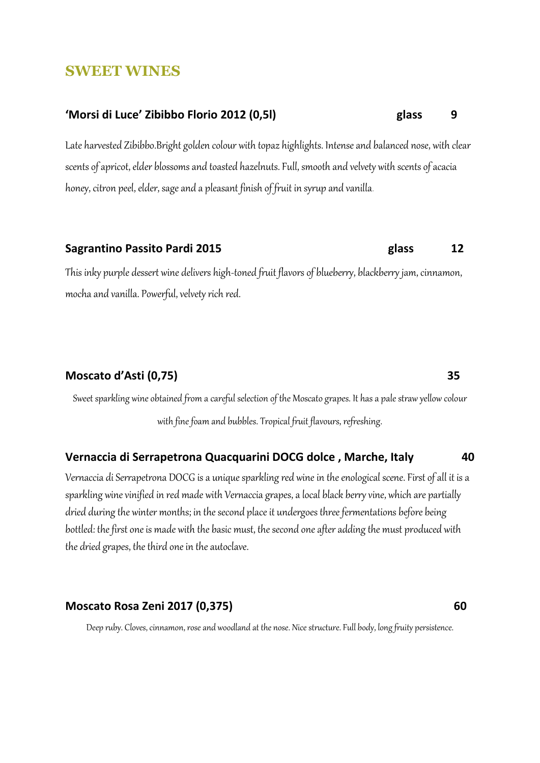# **SWEET WINES**

# **'Morsi di Luce' Zibibbo Florio 2012 (0,5l) glass 9**

Late harvested Zibibbo.Bright golden colour with topaz highlights. Intense and balanced nose, with clear scents of apricot, elder blossoms and toasted hazelnuts. Full, smooth and velvety with scents of acacia honey, citron peel, elder, sage and a pleasant finish of fruit in syrup and vanilla.

# **Sagrantino Passito Pardi 2015 glass 12**

This inky purple dessert wine delivers high-toned fruit flavors of blueberry, blackberry jam, cinnamon, mocha and vanilla. Powerful, velvety rich red.

# **Moscato d'Asti (0,75) 35**

Sweet sparkling wine obtained from a careful selection of the Moscato grapes. It has a pale straw yellow colour with fine foam and bubbles. Tropical fruit flavours, refreshing.

## **Vernaccia di Serrapetrona Quacquarini DOCG dolce , Marche, Italy 40**

Vernaccia di Serrapetrona DOCG is a unique sparkling red wine in the enological scene. First of all it is a sparkling wine vinified in red made with Vernaccia grapes, a local black berry vine, which are partially dried during the winter months; in the second place it undergoes three fermentations before being bottled: the first one is made with the basic must, the second one after adding the must produced with the dried grapes, the third one in the autoclave.

## **Moscato Rosa Zeni 2017 (0,375) 60**

Deep ruby. Cloves, cinnamon, rose and woodland at the nose. Nice structure. Full body, long fruity persistence.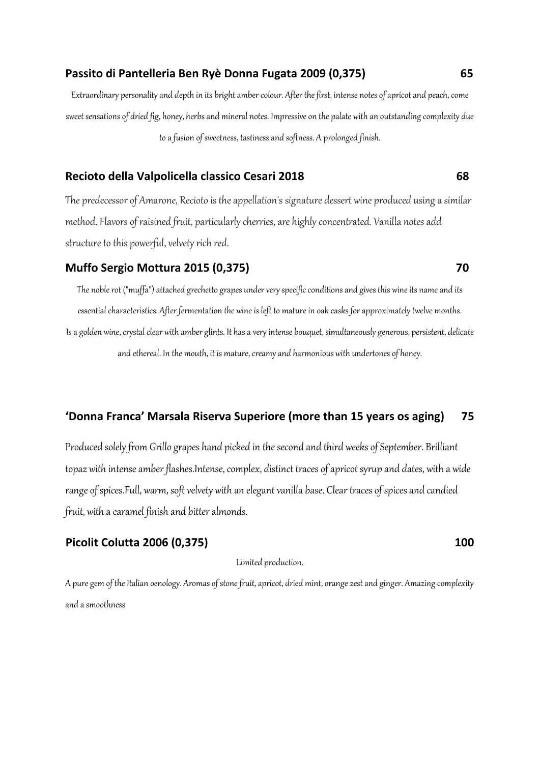#### **Passito di Pantelleria Ben Ryè Donna Fugata 2009 (0,375) 65**

Extraordinary personality and depth in its bright amber colour. After the first, intense notes of apricot and peach, come sweet sensations of dried fig, honey, herbs and mineral notes. Impressive on the palate with an outstanding complexity due to a fusion of sweetness, tastiness and softness. A prolonged finish.

#### **Recioto della Valpolicella classico Cesari 2018 68**

The predecessor of Amarone, Recioto is the appellation's signature dessert wine produced using a similar method. Flavors of raisined fruit, particularly cherries, are highly concentrated. Vanilla notes add structure to this powerful, velvety rich red.

#### **Muffo Sergio Mottura 2015 (0,375) 70**

The noble rot ("muffa") attached grechetto grapes under very specific conditions and gives this wine its name and its essential characteristics. After fermentation the wine is left to mature in oak casks for approximately twelve months. Is a golden wine, crystal clear with amber glints. It has a very intense bouquet, simultaneously generous, persistent, delicate and ethereal. In the mouth, it is mature, creamy and harmonious with undertones of honey.

#### **'Donna Franca' Marsala Riserva Superiore (more than 15 years os aging) 75**

Produced solely from Grillo grapes hand picked in the second and third weeks of September. Brilliant topaz with intense amber flashes.Intense, complex, distinct traces of apricot syrup and dates, with a wide range of spices.Full, warm, soft velvety with an elegant vanilla base. Clear traces of spices and candied fruit, with a caramel finish and bitter almonds.

#### **Picolit Colutta 2006 (0,375) 100**

Limited production.

A pure gem of the Italian oenology. Aromas of stone fruit, apricot, dried mint, orange zest and ginger. Amazing complexity and a smoothness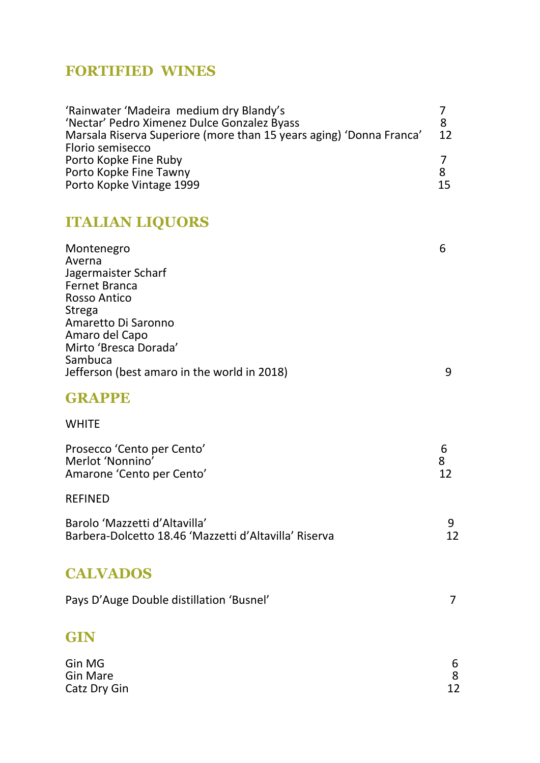# **FORTIFIED WINES**

| 'Rainwater 'Madeira medium dry Blandy's                             |         |
|---------------------------------------------------------------------|---------|
| 'Nectar' Pedro Ximenez Dulce Gonzalez Byass                         |         |
| Marsala Riserva Superiore (more than 15 years aging) 'Donna Franca' | $12 \,$ |
| Florio semisecco                                                    |         |
| Porto Kopke Fine Ruby                                               |         |
| Porto Kopke Fine Tawny                                              | 8       |
| Porto Kopke Vintage 1999                                            | 15      |

# **ITALIAN LIQUORS**

| Montenegro                                  | b |
|---------------------------------------------|---|
| Averna                                      |   |
| Jagermaister Scharf                         |   |
| <b>Fernet Branca</b>                        |   |
| <b>Rosso Antico</b>                         |   |
| Strega                                      |   |
| Amaretto Di Saronno                         |   |
| Amaro del Capo                              |   |
| Mirto 'Bresca Dorada'                       |   |
| Sambuca                                     |   |
| Jefferson (best amaro in the world in 2018) | 9 |
|                                             |   |

# **GRAPPE**

# WHITE

| Prosecco 'Cento per Cento'<br>Merlot 'Nonnino'<br>Amarone 'Cento per Cento'            | b<br>8<br>12 |
|----------------------------------------------------------------------------------------|--------------|
| <b>REFINED</b>                                                                         |              |
| Barolo 'Mazzetti d'Altavilla'<br>Barbera-Dolcetto 18.46 'Mazzetti d'Altavilla' Riserva |              |

# **CALVADOS**

| Pays D'Auge Double distillation 'Busnel' |  |
|------------------------------------------|--|
|------------------------------------------|--|

# **GIN**

| Gin MG       | 6  |
|--------------|----|
| Gin Mare     |    |
| Catz Dry Gin | 12 |